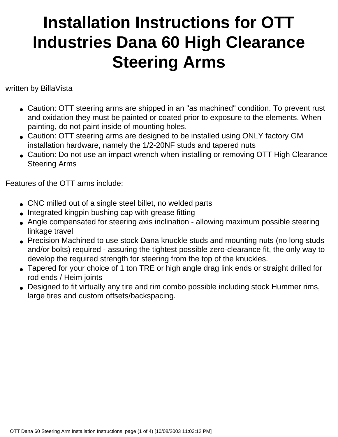## **Installation Instructions for OTT Industries Dana 60 High Clearance Steering Arms**

written by BillaVista

- Caution: OTT steering arms are shipped in an "as machined" condition. To prevent rust and oxidation they must be painted or coated prior to exposure to the elements. When painting, do not paint inside of mounting holes.
- Caution: OTT steering arms are designed to be installed using ONLY factory GM installation hardware, namely the 1/2-20NF studs and tapered nuts
- Caution: Do not use an impact wrench when installing or removing OTT High Clearance Steering Arms

Features of the OTT arms include:

- CNC milled out of a single steel billet, no welded parts
- Integrated kingpin bushing cap with grease fitting
- Angle compensated for steering axis inclination allowing maximum possible steering linkage travel
- Precision Machined to use stock Dana knuckle studs and mounting nuts (no long studs and/or bolts) required - assuring the tightest possible zero-clearance fit, the only way to develop the required strength for steering from the top of the knuckles.
- Tapered for your choice of 1 ton TRE or high angle drag link ends or straight drilled for rod ends / Heim joints
- Designed to fit virtually any tire and rim combo possible including stock Hummer rims, large tires and custom offsets/backspacing.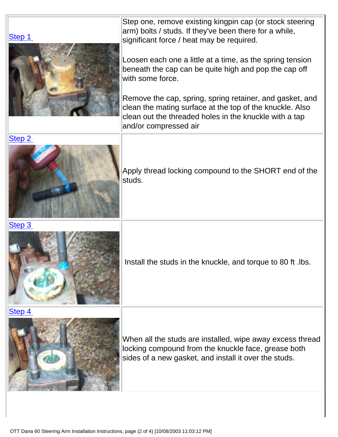Step one, remove existing kingpin cap (or stock steering arm) bolts / studs. If they've been there for a while, significant force / heat may be required.

Loosen each one a little at a time, as the spring tension beneath the cap can be quite high and pop the cap off with some force.

Remove the cap, spring, spring retainer, and gasket, and clean the mating surface at the top of the knuckle. Also clean out the threaded holes in the knuckle with a tap and/or compressed air



Apply thread locking compound to the SHORT end of the studs.

[Step 3](file:///C|/0%20Pirate4x4.com.tech/billavista/PR-OTT/DCP_7128.JPG)

[Step 1](file:///C|/0%20Pirate4x4.com.tech/billavista/PR-OTT/DCP_7127.JPG)



Install the studs in the knuckle, and torque to 80 ft .lbs.

[Step 4](file:///C|/0%20Pirate4x4.com.tech/billavista/PR-OTT/DCP_7139.JPG)



When all the studs are installed, wipe away excess thread locking compound from the knuckle face, grease both sides of a new gasket, and install it over the studs.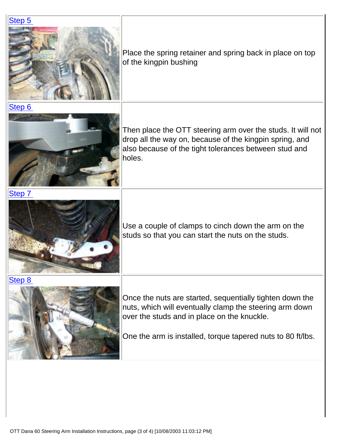